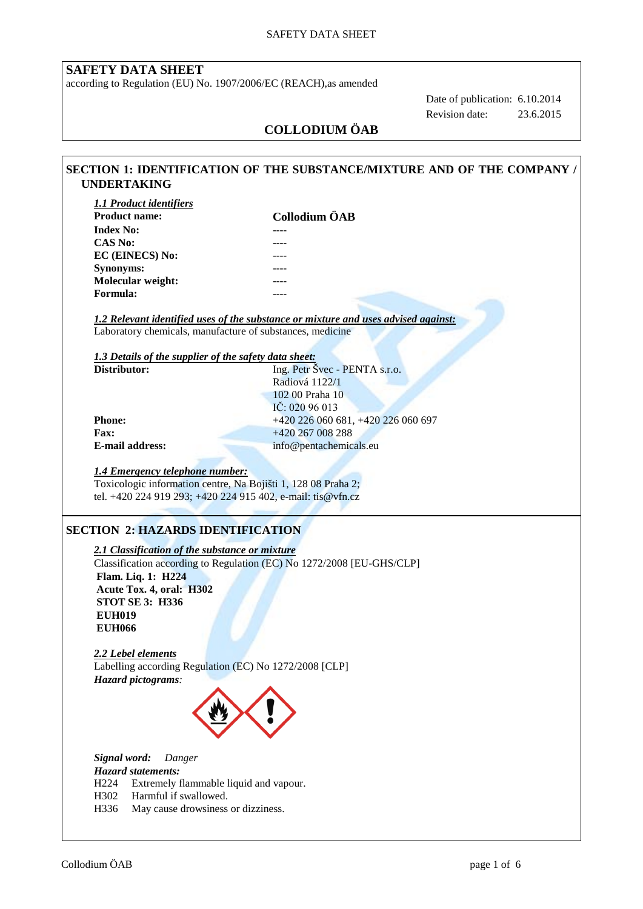## **SAFETY DATA SHEET**

according to Regulation (EU) No. 1907/2006/EC (REACH),as amended

 Date of publication: 6.10.2014 Revision date: 23.6.2015

# **COLLODIUM ÖAB**

| <b>1.1 Product identifiers</b>                                                                                                           |                                                                                    |  |  |  |  |
|------------------------------------------------------------------------------------------------------------------------------------------|------------------------------------------------------------------------------------|--|--|--|--|
| <b>Product name:</b>                                                                                                                     | Collodium ÖAB                                                                      |  |  |  |  |
| <b>Index No:</b>                                                                                                                         |                                                                                    |  |  |  |  |
| <b>CAS No:</b>                                                                                                                           |                                                                                    |  |  |  |  |
| EC (EINECS) No:                                                                                                                          |                                                                                    |  |  |  |  |
| Synonyms:                                                                                                                                |                                                                                    |  |  |  |  |
| Molecular weight:                                                                                                                        |                                                                                    |  |  |  |  |
| Formula:                                                                                                                                 |                                                                                    |  |  |  |  |
|                                                                                                                                          |                                                                                    |  |  |  |  |
|                                                                                                                                          | 1.2 Relevant identified uses of the substance or mixture and uses advised against: |  |  |  |  |
| Laboratory chemicals, manufacture of substances, medicine                                                                                |                                                                                    |  |  |  |  |
|                                                                                                                                          |                                                                                    |  |  |  |  |
| 1.3 Details of the supplier of the safety data sheet:<br>Distributor:                                                                    | Ing. Petr Švec - PENTA s.r.o.                                                      |  |  |  |  |
|                                                                                                                                          | Radiová 1122/1                                                                     |  |  |  |  |
|                                                                                                                                          | 102 00 Praha 10                                                                    |  |  |  |  |
|                                                                                                                                          | IČ: 020 96 013                                                                     |  |  |  |  |
| Phone:                                                                                                                                   | +420 226 060 681, +420 226 060 697                                                 |  |  |  |  |
| Fax:                                                                                                                                     | +420 267 008 288                                                                   |  |  |  |  |
| <b>E-mail address:</b>                                                                                                                   | info@pentachemicals.eu                                                             |  |  |  |  |
|                                                                                                                                          |                                                                                    |  |  |  |  |
|                                                                                                                                          |                                                                                    |  |  |  |  |
| <b>SECTION 2: HAZARDS IDENTIFICATION</b>                                                                                                 |                                                                                    |  |  |  |  |
|                                                                                                                                          |                                                                                    |  |  |  |  |
|                                                                                                                                          | Classification according to Regulation (EC) No 1272/2008 [EU-GHS/CLP]              |  |  |  |  |
| 2.1 Classification of the substance or mixture<br>Flam. Liq. 1: H224                                                                     |                                                                                    |  |  |  |  |
| Acute Tox. 4, oral: H302                                                                                                                 |                                                                                    |  |  |  |  |
| <b>STOT SE 3: H336</b>                                                                                                                   |                                                                                    |  |  |  |  |
| <b>EUH019</b>                                                                                                                            |                                                                                    |  |  |  |  |
| <b>EUH066</b>                                                                                                                            |                                                                                    |  |  |  |  |
|                                                                                                                                          |                                                                                    |  |  |  |  |
|                                                                                                                                          |                                                                                    |  |  |  |  |
|                                                                                                                                          |                                                                                    |  |  |  |  |
|                                                                                                                                          |                                                                                    |  |  |  |  |
|                                                                                                                                          |                                                                                    |  |  |  |  |
| 2.2 Lebel elements<br>Labelling according Regulation (EC) No 1272/2008 [CLP]<br>Hazard pictograms:                                       |                                                                                    |  |  |  |  |
|                                                                                                                                          |                                                                                    |  |  |  |  |
|                                                                                                                                          |                                                                                    |  |  |  |  |
| Danger                                                                                                                                   |                                                                                    |  |  |  |  |
|                                                                                                                                          |                                                                                    |  |  |  |  |
| Signal word:<br><b>Hazard statements:</b><br>Extremely flammable liquid and vapour.<br>H <sub>224</sub><br>Harmful if swallowed.<br>H302 |                                                                                    |  |  |  |  |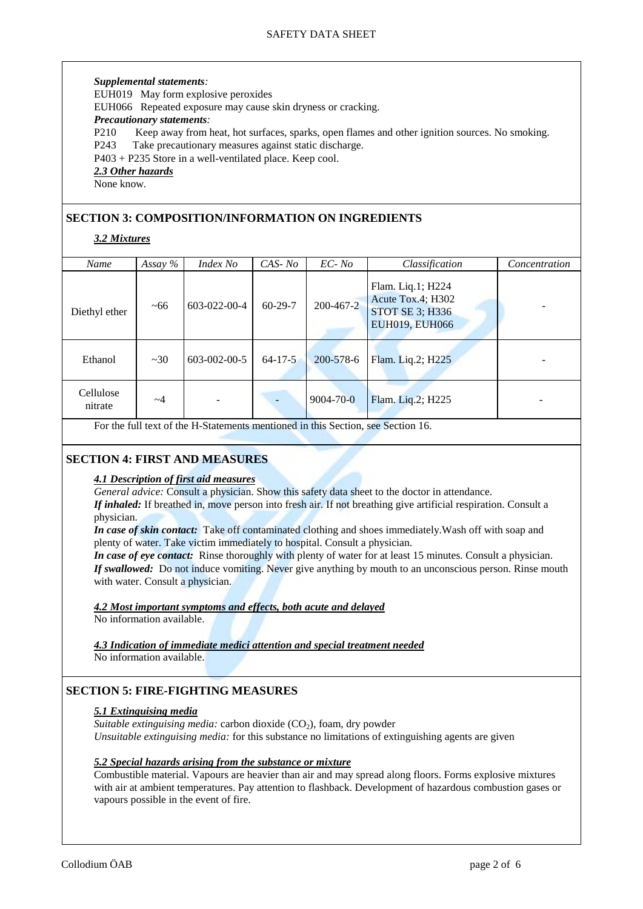#### *Supplemental statements:*

EUH019 May form explosive peroxides

EUH066 Repeated exposure may cause skin dryness or cracking.

#### *Precautionary statements:*

P210 Keep away from heat, hot surfaces, sparks, open flames and other ignition sources. No smoking.

P243 Take precautionary measures against static discharge.

P403 + P235 Store in a well-ventilated place. Keep cool.

#### *2.3 Other hazards*

None know.

## **SECTION 3: COMPOSITION/INFORMATION ON INGREDIENTS**

## *3.2 Mixtures*

| Name                 | Assay $%$ | Index No             | $CAS-No$      | $EC-No$         | Classification                                                                     | Concentration |
|----------------------|-----------|----------------------|---------------|-----------------|------------------------------------------------------------------------------------|---------------|
| Diethyl ether        | ~100      | 603-022-00-4         | $60-29-7$     | $200 - 467 - 2$ | Flam. Liq.1; H224<br>Acute Tox.4; H302<br>STOT SE 3; H336<br><b>EUH019, EUH066</b> |               |
| Ethanol              | ~20       | $603 - 002 - 00 - 5$ | $64 - 17 - 5$ | 200-578-6       | Flam. Liq.2; H225                                                                  |               |
| Cellulose<br>nitrate | $\sim$ 4  | ۰                    |               | $9004 - 70 - 0$ | Flam. Liq.2; H225                                                                  |               |

For the full text of the H-Statements mentioned in this Section, see Section 16.

## **SECTION 4: FIRST AND MEASURES**

#### *4.1 Description of first aid measures*

*General advice:* Consult a physician. Show this safety data sheet to the doctor in attendance.

*If inhaled:* If breathed in, move person into fresh air. If not breathing give artificial respiration. Consult a physician.

*In case of skin contact:* Take off contaminated clothing and shoes immediately.Wash off with soap and plenty of water. Take victim immediately to hospital. Consult a physician.

*In case of eye contact:* Rinse thoroughly with plenty of water for at least 15 minutes. Consult a physician. *If swallowed:* Do not induce vomiting. Never give anything by mouth to an unconscious person. Rinse mouth with water. Consult a physician.

#### *4.2 Most important symptoms and effects, both acute and delayed*

No information available.

*4.3 Indication of immediate medici attention and special treatment needed*  No information available.

## **SECTION 5: FIRE-FIGHTING MEASURES**

#### *5.1 Extinguising media*

*Suitable extinguising media:* carbon dioxide  $(CO<sub>2</sub>)$ , foam, dry powder *Unsuitable extinguising media:* for this substance no limitations of extinguishing agents are given

#### *5.2 Special hazards arising from the substance or mixture*

Combustible material. Vapours are heavier than air and may spread along floors. Forms explosive mixtures with air at ambient temperatures. Pay attention to flashback. Development of hazardous combustion gases or vapours possible in the event of fire.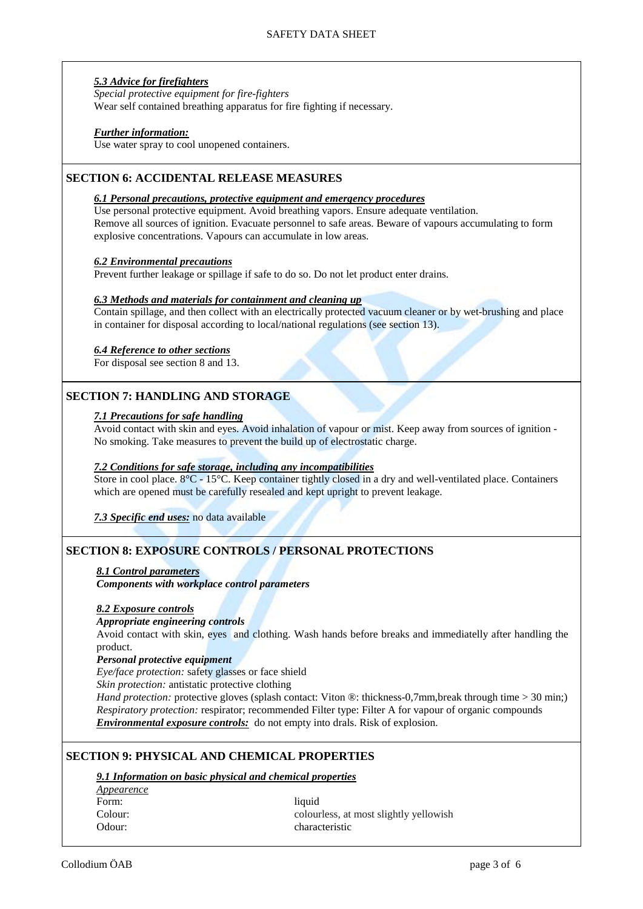#### *5.3 Advice for firefighters*

*Special protective equipment for fire-fighters* Wear self contained breathing apparatus for fire fighting if necessary.

#### *Further information:*

Use water spray to cool unopened containers.

## **SECTION 6: ACCIDENTAL RELEASE MEASURES**

#### *6.1 Personal precautions, protective equipment and emergency procedures*

Use personal protective equipment. Avoid breathing vapors. Ensure adequate ventilation. Remove all sources of ignition. Evacuate personnel to safe areas. Beware of vapours accumulating to form explosive concentrations. Vapours can accumulate in low areas.

#### *6.2 Environmental precautions*

Prevent further leakage or spillage if safe to do so. Do not let product enter drains.

#### *6.3 Methods and materials for containment and cleaning up*

Contain spillage, and then collect with an electrically protected vacuum cleaner or by wet-brushing and place in container for disposal according to local/national regulations (see section 13).

#### *6.4 Reference to other sections*

For disposal see section 8 and 13.

## **SECTION 7: HANDLING AND STORAGE**

#### *7.1 Precautions for safe handling*

Avoid contact with skin and eyes. Avoid inhalation of vapour or mist. Keep away from sources of ignition - No smoking. Take measures to prevent the build up of electrostatic charge.

#### *7.2 Conditions for safe storage, including any incompatibilities*

Store in cool place. 8°C - 15°C. Keep container tightly closed in a dry and well-ventilated place. Containers which are opened must be carefully resealed and kept upright to prevent leakage.

*7.3 Specific end uses:* no data available

## **SECTION 8: EXPOSURE CONTROLS / PERSONAL PROTECTIONS**

#### *8.1 Control parameters*

*Components with workplace control parameters*

#### *8.2 Exposure controls*

#### *Appropriate engineering controls*

Avoid contact with skin, eyes and clothing. Wash hands before breaks and immediatelly after handling the product.

#### *Personal protective equipment*

*Eye/face protection:* safety glasses or face shield

*Skin protection:* antistatic protective clothing

*Hand protection:* protective gloves (splash contact: Viton ®: thickness-0,7mm,break through time > 30 min;) *Respiratory protection:* respirator; recommended Filter type: Filter A for vapour of organic compounds *Environmental exposure controls:* do not empty into drals. Risk of explosion.

## **SECTION 9: PHYSICAL AND CHEMICAL PROPERTIES**

## *9.1 Information on basic physical and chemical properties*

*Appearence* Form: liquid

Colour: colourless, at most slightly yellowish Odour: characteristic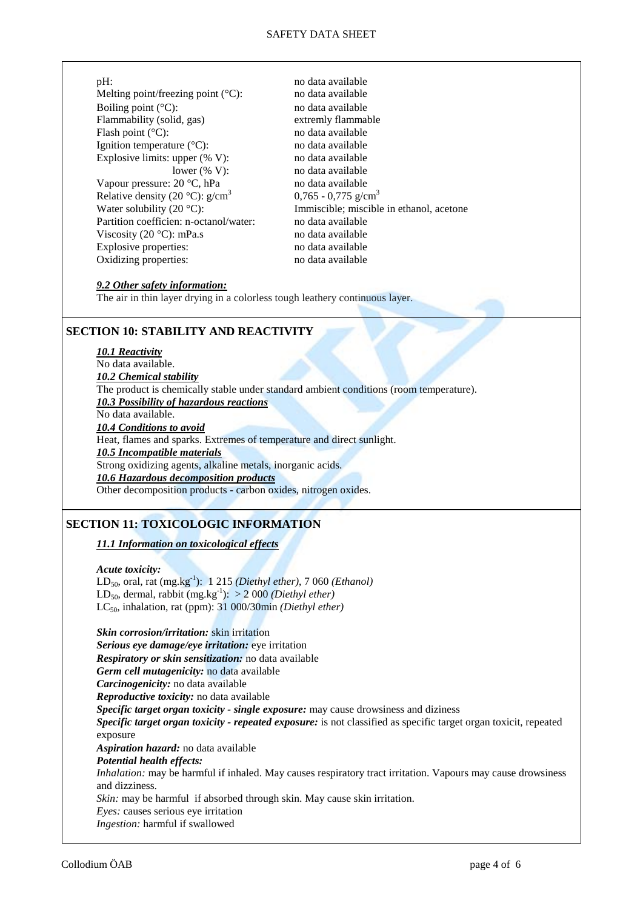| pH:                                            |  |  |  |  |
|------------------------------------------------|--|--|--|--|
| Melting point/freezing point $({}^{\circ}C)$ : |  |  |  |  |
| Boiling point $(^{\circ}C)$ :                  |  |  |  |  |
| Flammability (solid, gas)                      |  |  |  |  |
| Flash point $(^{\circ}C)$ :                    |  |  |  |  |
| Ignition temperature $({}^{\circ}C)$ :         |  |  |  |  |
| Explosive limits: upper $(\% V)$ :             |  |  |  |  |
| lower $(\% V)$ :                               |  |  |  |  |
| Vapour pressure: $20^{\circ}$ C, hPa           |  |  |  |  |
| Relative density (20 °C): $g/cm^3$             |  |  |  |  |
| Water solubility (20 $^{\circ}$ C):            |  |  |  |  |
| Partition coefficien: n-octanol/water:         |  |  |  |  |
| Viscosity (20 $\degree$ C): mPa.s              |  |  |  |  |
| Explosive properties:                          |  |  |  |  |
| Oxidizing properties:                          |  |  |  |  |

no data available no data available no data available extremly flammable no data available no data available no data available no data available no data available  $0.765 - 0.775$  g/cm<sup>3</sup> Immiscible; miscible in ethanol, acetone no data available no data available. no data available no data available

#### *9.2 Other safety information:*

The air in thin layer drying in a colorless tough leathery continuous layer.

## **SECTION 10: STABILITY AND REACTIVITY**

## *10.1 Reactivity*

No data available. *10.2 Chemical stability* The product is chemically stable under standard ambient conditions (room temperature). *10.3 Possibility of hazardous reactions* No data available. *10.4 Conditions to avoid* Heat, flames and sparks. Extremes of temperature and direct sunlight. *10.5 Incompatible materials*  Strong oxidizing agents, alkaline metals, inorganic acids. *10.6 Hazardous decomposition products*  Other decomposition products - carbon oxides, nitrogen oxides.

## **SECTION 11: TOXICOLOGIC INFORMATION**

#### *11.1 Information on toxicological effects*

#### *Acute toxicity:*

LD50, oral, rat (mg.kg-1 ): 1 215 *(Diethyl ether)*, 7 060 *(Ethanol)*  $LD_{50}$ , dermal, rabbit (mg.kg<sup>-1</sup>):  $>$  2 000 *(Diethyl ether)* LC50, inhalation, rat (ppm): 31 000/30min *(Diethyl ether)*

*Skin corrosion/irritation:* skin irritation *Serious eye damage/eye irritation:* eye irritation *Respiratory or skin sensitization:* no data available *Germ cell mutagenicity:* no data available *Carcinogenicity:* no data available *Reproductive toxicity:* no data available *Specific target organ toxicity - single exposure:* may cause drowsiness and diziness *Specific target organ toxicity - repeated exposure:* is not classified as specific target organ toxicit, repeated exposure *Aspiration hazard:* no data available *Potential health effects: Inhalation:* may be harmful if inhaled. May causes respiratory tract irritation. Vapours may cause drowsiness and dizziness. *Skin:* may be harmful if absorbed through skin. May cause skin irritation. *Eyes:* causes serious eye irritation *Ingestion:* harmful if swallowed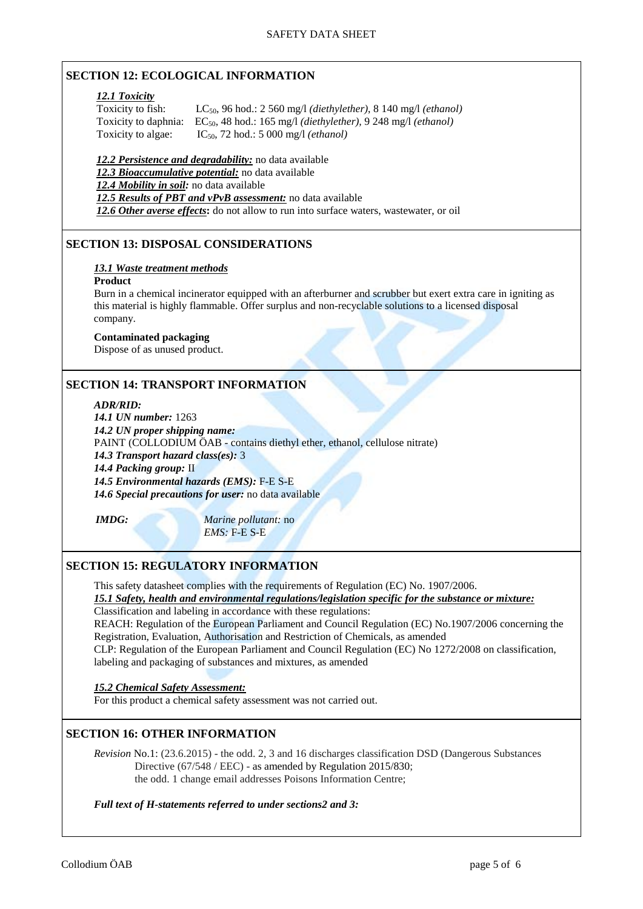## **SECTION 12: ECOLOGICAL INFORMATION**

#### *12.1 Toxicity*

Toxicity to fish: LC50, 96 hod.: 2 560 mg/l *(diethylether)*, 8 140 mg/l *(ethanol)*  Toxicity to daphnia: EC<sub>50</sub>, 48 hod.: 165 mg/l *(diethylether)*, 9 248 mg/l *(ethanol)* Toxicity to algae:  $IC_{50}$ , 72 hod.: 5 000 mg/l *(ethanol)* 

*12.2 Persistence and degradability:* no data available *12.3 Bioaccumulative potential:* no data available *12.4 Mobility in soil:* no data available *12.5 Results of PBT and vPvB assessment:* no data available *12.6 Other averse effects***:** do not allow to run into surface waters, wastewater, or oil

## **SECTION 13: DISPOSAL CONSIDERATIONS**

#### *13.1 Waste treatment methods*

#### **Product**

Burn in a chemical incinerator equipped with an afterburner and scrubber but exert extra care in igniting as this material is highly flammable. Offer surplus and non-recyclable solutions to a licensed disposal company.

#### **Contaminated packaging**

Dispose of as unused product.

## **SECTION 14: TRANSPORT INFORMATION**

#### *ADR/RID:*

*14.1 UN number:* 1263 *14.2 UN proper shipping name:*  PAINT (COLLODIUM ÖAB - contains diethyl ether, ethanol, cellulose nitrate) *14.3 Transport hazard class(es):* 3 *14.4 Packing group:* II *14.5 Environmental hazards (EMS):* F-E S-E *14.6 Special precautions for user:* no data available

*IMDG: Marine pollutant:* no *EMS:* F-E S-E

## **SECTION 15: REGULATORY INFORMATION**

This safety datasheet complies with the requirements of Regulation (EC) No. 1907/2006.

## *15.1 Safety, health and environmental regulations/legislation specific for the substance or mixture:*

Classification and labeling in accordance with these regulations:

REACH: Regulation of the European Parliament and Council Regulation (EC) No.1907/2006 concerning the Registration, Evaluation, Authorisation and Restriction of Chemicals, as amended

CLP: Regulation of the European Parliament and Council Regulation (EC) No 1272/2008 on classification, labeling and packaging of substances and mixtures, as amended

*15.2 Chemical Safety Assessment:*

For this product a chemical safety assessment was not carried out.

## **SECTION 16: OTHER INFORMATION**

*Revision* No.1: (23.6.2015) - the odd. 2, 3 and 16 discharges classification DSD (Dangerous Substances Directive (67/548 / EEC) - as amended by Regulation 2015/830: the odd. 1 change email addresses Poisons Information Centre;

#### *Full text of H-statements referred to under sections2 and 3:*